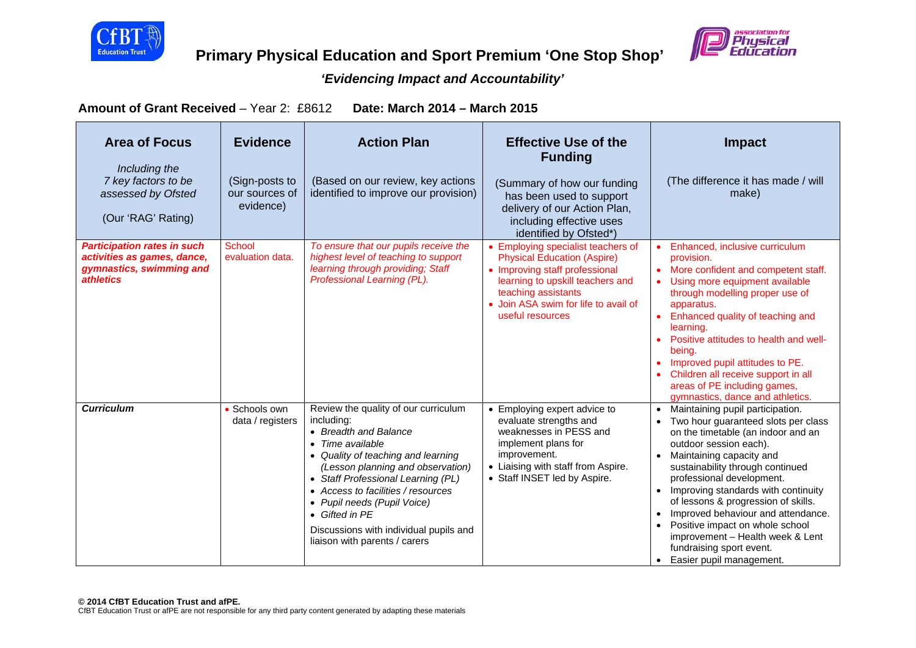



# **Primary Physical Education and Sport Premium 'One Stop Shop'**

## *'Evidencing Impact and Accountability'*

**Amount of Grant Received** – Year 2: £8612 **Date: March 2014 – March 2015** 

| <b>Area of Focus</b><br>Including the                                                                                    | <b>Evidence</b>                               | <b>Action Plan</b>                                                                                                                                                                                                                                                                                                                                                                            | <b>Effective Use of the</b><br><b>Funding</b>                                                                                                                                                                                     | <b>Impact</b>                                                                                                                                                                                                                                                                                                                                                                                                                                                                             |
|--------------------------------------------------------------------------------------------------------------------------|-----------------------------------------------|-----------------------------------------------------------------------------------------------------------------------------------------------------------------------------------------------------------------------------------------------------------------------------------------------------------------------------------------------------------------------------------------------|-----------------------------------------------------------------------------------------------------------------------------------------------------------------------------------------------------------------------------------|-------------------------------------------------------------------------------------------------------------------------------------------------------------------------------------------------------------------------------------------------------------------------------------------------------------------------------------------------------------------------------------------------------------------------------------------------------------------------------------------|
| 7 key factors to be<br>assessed by Ofsted<br>(Our 'RAG' Rating)                                                          | (Sign-posts to<br>our sources of<br>evidence) | (Based on our review, key actions<br>identified to improve our provision)                                                                                                                                                                                                                                                                                                                     | (Summary of how our funding<br>has been used to support<br>delivery of our Action Plan,<br>including effective uses<br>identified by Ofsted*)                                                                                     | (The difference it has made / will<br>make)                                                                                                                                                                                                                                                                                                                                                                                                                                               |
| <b>Participation rates in such</b><br>activities as games, dance,<br>gymnastics, swimming and<br><i><b>athletics</b></i> | School<br>evaluation data.                    | To ensure that our pupils receive the<br>highest level of teaching to support<br>learning through providing; Staff<br>Professional Learning (PL).                                                                                                                                                                                                                                             | • Employing specialist teachers of<br><b>Physical Education (Aspire)</b><br>• Improving staff professional<br>learning to upskill teachers and<br>teaching assistants<br>• Join ASA swim for life to avail of<br>useful resources | Enhanced, inclusive curriculum<br>$\bullet$<br>provision.<br>• More confident and competent staff.<br>Using more equipment available<br>through modelling proper use of<br>apparatus.<br>Enhanced quality of teaching and<br>learning.<br>Positive attitudes to health and well-<br>being.<br>Improved pupil attitudes to PE.<br>Children all receive support in all<br>areas of PE including games,<br>gymnastics, dance and athletics.                                                  |
| <b>Curriculum</b>                                                                                                        | · Schools own<br>data / registers             | Review the quality of our curriculum<br>including:<br>• Breadth and Balance<br>Time available<br>$\bullet$<br>• Quality of teaching and learning<br>(Lesson planning and observation)<br>• Staff Professional Learning (PL)<br>• Access to facilities / resources<br>• Pupil needs (Pupil Voice)<br>• Gifted in PE<br>Discussions with individual pupils and<br>liaison with parents / carers | • Employing expert advice to<br>evaluate strengths and<br>weaknesses in PESS and<br>implement plans for<br>improvement.<br>• Liaising with staff from Aspire.<br>• Staff INSET led by Aspire.                                     | Maintaining pupil participation.<br>Two hour guaranteed slots per class<br>on the timetable (an indoor and an<br>outdoor session each).<br>Maintaining capacity and<br>sustainability through continued<br>professional development.<br>Improving standards with continuity<br>of lessons & progression of skills.<br>Improved behaviour and attendance.<br>Positive impact on whole school<br>improvement - Health week & Lent<br>fundraising sport event.<br>• Easier pupil management. |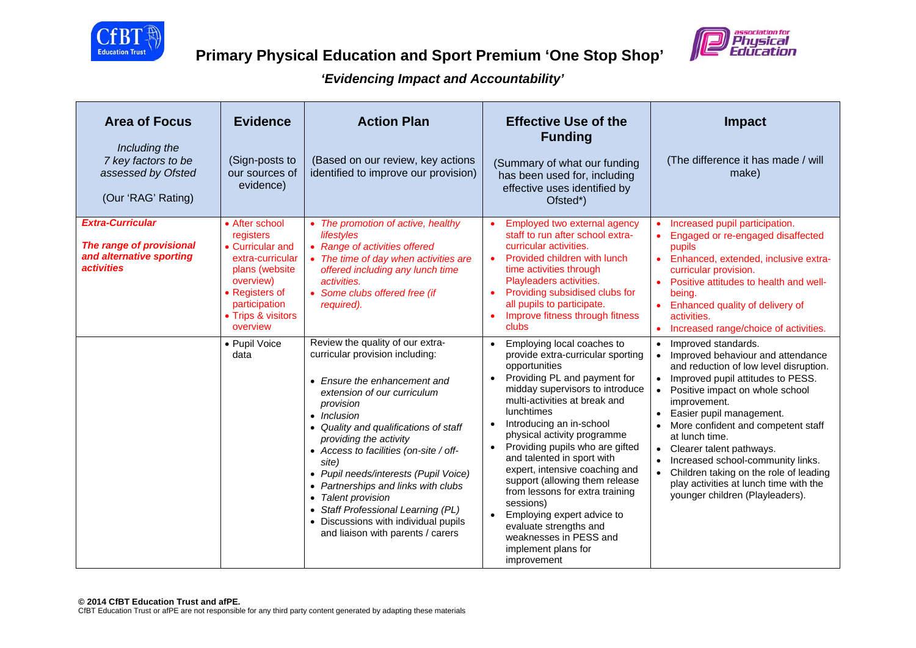



| <b>Area of Focus</b><br>Including the<br>7 key factors to be<br>assessed by Ofsted<br>(Our 'RAG' Rating)    | <b>Evidence</b><br>(Sign-posts to<br>our sources of<br>evidence)                                                                                                         | <b>Action Plan</b><br>(Based on our review, key actions<br>identified to improve our provision)                                                                                                                                                                                                                                                                                                                                                                                                               | <b>Effective Use of the</b><br><b>Funding</b><br>(Summary of what our funding<br>has been used for, including<br>effective uses identified by<br>Ofsted*)                                                                                                                                                                                                                                                                                                                                                                                                                                                                | <b>Impact</b><br>(The difference it has made / will<br>make)                                                                                                                                                                                                                                                                                                                                                                                                                            |
|-------------------------------------------------------------------------------------------------------------|--------------------------------------------------------------------------------------------------------------------------------------------------------------------------|---------------------------------------------------------------------------------------------------------------------------------------------------------------------------------------------------------------------------------------------------------------------------------------------------------------------------------------------------------------------------------------------------------------------------------------------------------------------------------------------------------------|--------------------------------------------------------------------------------------------------------------------------------------------------------------------------------------------------------------------------------------------------------------------------------------------------------------------------------------------------------------------------------------------------------------------------------------------------------------------------------------------------------------------------------------------------------------------------------------------------------------------------|-----------------------------------------------------------------------------------------------------------------------------------------------------------------------------------------------------------------------------------------------------------------------------------------------------------------------------------------------------------------------------------------------------------------------------------------------------------------------------------------|
| <b>Extra-Curricular</b><br>The range of provisional<br>and alternative sporting<br><i><b>activities</b></i> | • After school<br>registers<br>• Curricular and<br>extra-curricular<br>plans (website)<br>overview)<br>• Registers of<br>participation<br>• Trips & visitors<br>overview | • The promotion of active, healthy<br>lifestyles<br>• Range of activities offered<br>• The time of day when activities are<br>offered including any lunch time<br>activities.<br>• Some clubs offered free (if<br>required).                                                                                                                                                                                                                                                                                  | Employed two external agency<br>staff to run after school extra-<br>curricular activities.<br>Provided children with lunch<br>$\bullet$<br>time activities through<br>Playleaders activities.<br>Providing subsidised clubs for<br>all pupils to participate.<br>Improve fitness through fitness<br>clubs                                                                                                                                                                                                                                                                                                                | • Increased pupil participation.<br>Engaged or re-engaged disaffected<br>pupils<br>Enhanced, extended, inclusive extra-<br>$\bullet$<br>curricular provision.<br>Positive attitudes to health and well-<br>being.<br>Enhanced quality of delivery of<br>activities.<br>• Increased range/choice of activities.                                                                                                                                                                          |
|                                                                                                             | • Pupil Voice<br>data                                                                                                                                                    | Review the quality of our extra-<br>curricular provision including:<br>• Ensure the enhancement and<br>extension of our curriculum<br>provision<br>• Inclusion<br>• Quality and qualifications of staff<br>providing the activity<br>• Access to facilities (on-site / off-<br>site)<br>• Pupil needs/interests (Pupil Voice)<br>• Partnerships and links with clubs<br>• Talent provision<br>• Staff Professional Learning (PL)<br>• Discussions with individual pupils<br>and liaison with parents / carers | Employing local coaches to<br>$\bullet$<br>provide extra-curricular sporting<br>opportunities<br>Providing PL and payment for<br>midday supervisors to introduce<br>multi-activities at break and<br><b>lunchtimes</b><br>Introducing an in-school<br>$\bullet$<br>physical activity programme<br>Providing pupils who are gifted<br>$\bullet$<br>and talented in sport with<br>expert, intensive coaching and<br>support (allowing them release<br>from lessons for extra training<br>sessions)<br>Employing expert advice to<br>evaluate strengths and<br>weaknesses in PESS and<br>implement plans for<br>improvement | Improved standards.<br>$\bullet$<br>• Improved behaviour and attendance<br>and reduction of low level disruption.<br>Improved pupil attitudes to PESS.<br>Positive impact on whole school<br>improvement.<br>Easier pupil management.<br>More confident and competent staff<br>at lunch time.<br>• Clearer talent pathways.<br>Increased school-community links.<br>Children taking on the role of leading<br>play activities at lunch time with the<br>younger children (Playleaders). |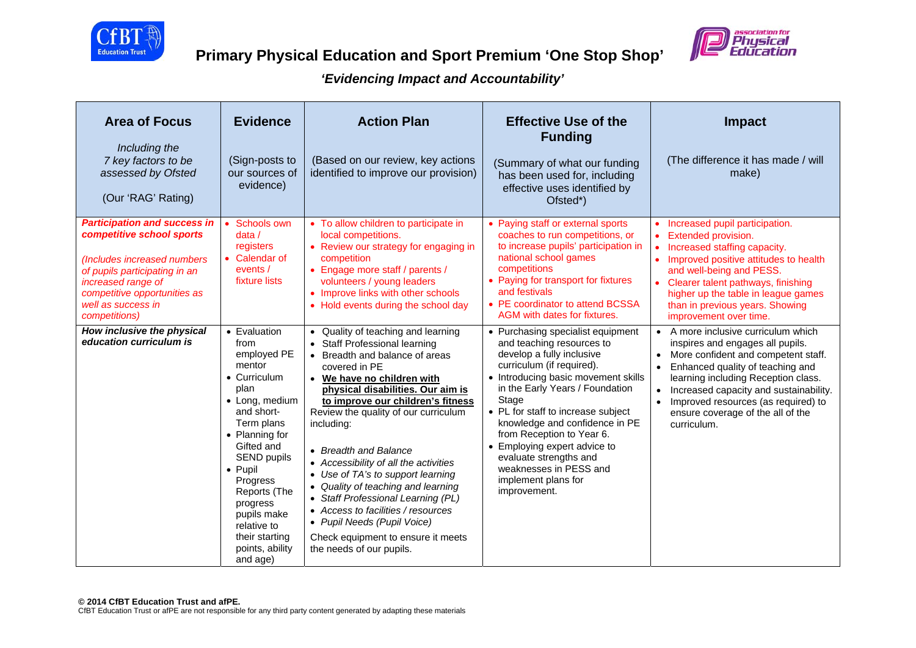



| <b>Area of Focus</b><br>Including the<br>7 key factors to be<br>assessed by Ofsted<br>(Our 'RAG' Rating)                                                                                                                      | <b>Evidence</b><br>(Sign-posts to<br>our sources of<br>evidence)                                                                                                                                                                                                                                             | <b>Action Plan</b><br>(Based on our review, key actions<br>identified to improve our provision)                                                                                                                                                                                                                                                                                                                                                                                                                                                                                                                | <b>Effective Use of the</b><br><b>Funding</b><br>(Summary of what our funding<br>has been used for, including<br>effective uses identified by<br>Ofsted*)                                                                                                                                                                                                                                                                                   | <b>Impact</b><br>(The difference it has made / will<br>make)                                                                                                                                                                                                                                                                                |
|-------------------------------------------------------------------------------------------------------------------------------------------------------------------------------------------------------------------------------|--------------------------------------------------------------------------------------------------------------------------------------------------------------------------------------------------------------------------------------------------------------------------------------------------------------|----------------------------------------------------------------------------------------------------------------------------------------------------------------------------------------------------------------------------------------------------------------------------------------------------------------------------------------------------------------------------------------------------------------------------------------------------------------------------------------------------------------------------------------------------------------------------------------------------------------|---------------------------------------------------------------------------------------------------------------------------------------------------------------------------------------------------------------------------------------------------------------------------------------------------------------------------------------------------------------------------------------------------------------------------------------------|---------------------------------------------------------------------------------------------------------------------------------------------------------------------------------------------------------------------------------------------------------------------------------------------------------------------------------------------|
| <b>Participation and success in</b><br>competitive school sports<br>(Includes increased numbers<br>of pupils participating in an<br>increased range of<br>competitive opportunities as<br>well as success in<br>competitions) | Schools own<br>data/<br>registers<br>• Calendar of<br>events /<br>fixture lists                                                                                                                                                                                                                              | • To allow children to participate in<br>local competitions.<br>• Review our strategy for engaging in<br>competition<br>• Engage more staff / parents /<br>volunteers / young leaders<br>• Improve links with other schools<br>• Hold events during the school day                                                                                                                                                                                                                                                                                                                                             | • Paying staff or external sports<br>coaches to run competitions, or<br>to increase pupils' participation in<br>national school games<br>competitions<br>• Paying for transport for fixtures<br>and festivals<br>• PE coordinator to attend BCSSA<br>AGM with dates for fixtures.                                                                                                                                                           | • Increased pupil participation.<br>Extended provision.<br>Increased staffing capacity.<br>• Improved positive attitudes to health<br>and well-being and PESS.<br>• Clearer talent pathways, finishing<br>higher up the table in league games<br>than in previous years. Showing<br>improvement over time.                                  |
| How inclusive the physical<br>education curriculum is                                                                                                                                                                         | • Evaluation<br>from<br>employed PE<br>mentor<br>• Curriculum<br>plan<br>• Long, medium<br>and short-<br>Term plans<br>• Planning for<br>Gifted and<br>SEND pupils<br>$\bullet$ Pupil<br>Progress<br>Reports (The<br>progress<br>pupils make<br>relative to<br>their starting<br>points, ability<br>and age) | • Quality of teaching and learning<br>• Staff Professional learning<br>• Breadth and balance of areas<br>covered in PE<br>• We have no children with<br>physical disabilities. Our aim is<br>to improve our children's fitness<br>Review the quality of our curriculum<br>including:<br>• Breadth and Balance<br>• Accessibility of all the activities<br>• Use of TA's to support learning<br>• Quality of teaching and learning<br>• Staff Professional Learning (PL)<br>• Access to facilities / resources<br>• Pupil Needs (Pupil Voice)<br>Check equipment to ensure it meets<br>the needs of our pupils. | • Purchasing specialist equipment<br>and teaching resources to<br>develop a fully inclusive<br>curriculum (if required).<br>• Introducing basic movement skills<br>in the Early Years / Foundation<br>Stage<br>• PL for staff to increase subject<br>knowledge and confidence in PE<br>from Reception to Year 6.<br>• Employing expert advice to<br>evaluate strengths and<br>weaknesses in PESS and<br>implement plans for<br>improvement. | • A more inclusive curriculum which<br>inspires and engages all pupils.<br>More confident and competent staff.<br>$\bullet$<br>Enhanced quality of teaching and<br>learning including Reception class.<br>Increased capacity and sustainability.<br>Improved resources (as required) to<br>ensure coverage of the all of the<br>curriculum. |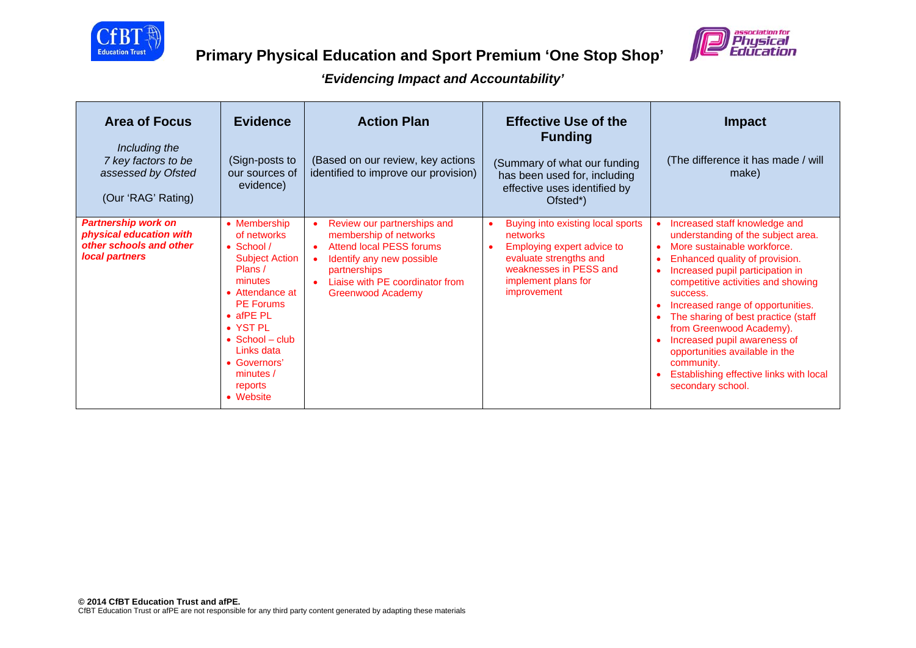



| <b>Area of Focus</b><br>Including the<br>7 key factors to be<br>assessed by Ofsted<br>(Our 'RAG' Rating) | <b>Evidence</b><br>(Sign-posts to<br>our sources of<br>evidence)                                                                                                                                                                                                               | <b>Action Plan</b><br>(Based on our review, key actions<br>identified to improve our provision)                                                                                                                         | <b>Effective Use of the</b><br><b>Funding</b><br>(Summary of what our funding<br>has been used for, including<br>effective uses identified by<br>Ofsted*)             | Impact<br>(The difference it has made / will<br>make)                                                                                                                                                                                                                                                                                                                                                                                                                              |
|----------------------------------------------------------------------------------------------------------|--------------------------------------------------------------------------------------------------------------------------------------------------------------------------------------------------------------------------------------------------------------------------------|-------------------------------------------------------------------------------------------------------------------------------------------------------------------------------------------------------------------------|-----------------------------------------------------------------------------------------------------------------------------------------------------------------------|------------------------------------------------------------------------------------------------------------------------------------------------------------------------------------------------------------------------------------------------------------------------------------------------------------------------------------------------------------------------------------------------------------------------------------------------------------------------------------|
| <b>Partnership work on</b><br>physical education with<br>other schools and other<br>local partners       | • Membership<br>of networks<br>$\bullet$ School /<br><b>Subject Action</b><br>Plans /<br>minutes<br>$\bullet$ Attendance at<br><b>PF Forums</b><br>$\bullet$ afPE PL<br>• YST PL<br>$\bullet$ School – club<br>Links data<br>• Governors'<br>minutes /<br>reports<br>• Website | Review our partnerships and<br>$\bullet$<br>membership of networks<br>Attend local PESS forums<br>Identify any new possible<br>partnerships<br>Liaise with PE coordinator from<br>$\bullet$<br><b>Greenwood Academy</b> | Buying into existing local sports<br>networks<br>Employing expert advice to<br>evaluate strengths and<br>weaknesses in PESS and<br>implement plans for<br>improvement | Increased staff knowledge and<br>understanding of the subject area.<br>More sustainable workforce.<br>Enhanced quality of provision.<br>Increased pupil participation in<br>competitive activities and showing<br>success.<br>Increased range of opportunities.<br>The sharing of best practice (staff<br>from Greenwood Academy).<br>Increased pupil awareness of<br>opportunities available in the<br>community.<br>Establishing effective links with local<br>secondary school. |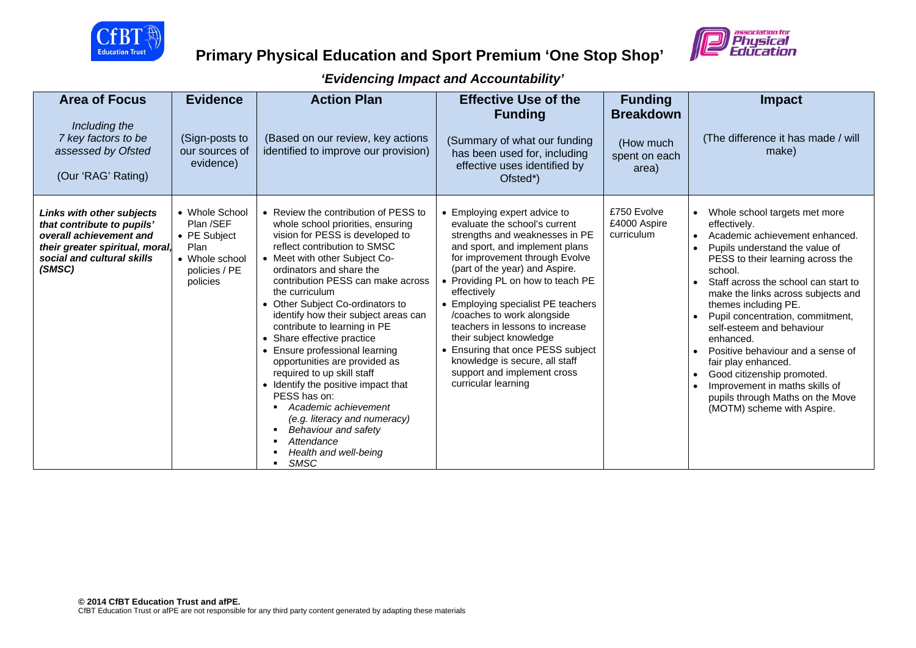

# **Primary Physical Education and Sport Premium 'One Stop Shop'**



| <b>Area of Focus</b><br>Including the<br>7 key factors to be<br>assessed by Ofsted<br>(Our 'RAG' Rating)                                                             | <b>Evidence</b><br>(Sign-posts to<br>our sources of<br>evidence)                                   | <b>Action Plan</b><br>(Based on our review, key actions<br>identified to improve our provision)                                                                                                                                                                                                                                                                                                                                                                                                                                                                                                                                                                                                        | <b>Effective Use of the</b><br><b>Funding</b><br>(Summary of what our funding<br>has been used for, including<br>effective uses identified by<br>Ofsted*)                                                                                                                                                                                                                                                                                                                                                                | <b>Funding</b><br><b>Breakdown</b><br>(How much<br>spent on each<br>area) | <b>Impact</b><br>(The difference it has made / will<br>make)                                                                                                                                                                                                                                                                                                                                                                                                                                                                                        |
|----------------------------------------------------------------------------------------------------------------------------------------------------------------------|----------------------------------------------------------------------------------------------------|--------------------------------------------------------------------------------------------------------------------------------------------------------------------------------------------------------------------------------------------------------------------------------------------------------------------------------------------------------------------------------------------------------------------------------------------------------------------------------------------------------------------------------------------------------------------------------------------------------------------------------------------------------------------------------------------------------|--------------------------------------------------------------------------------------------------------------------------------------------------------------------------------------------------------------------------------------------------------------------------------------------------------------------------------------------------------------------------------------------------------------------------------------------------------------------------------------------------------------------------|---------------------------------------------------------------------------|-----------------------------------------------------------------------------------------------------------------------------------------------------------------------------------------------------------------------------------------------------------------------------------------------------------------------------------------------------------------------------------------------------------------------------------------------------------------------------------------------------------------------------------------------------|
| <b>Links with other subjects</b><br>that contribute to pupils'<br>overall achievement and<br>their greater spiritual, moral,<br>social and cultural skills<br>(SMSC) | • Whole School<br>Plan /SEF<br>• PE Subject<br>Plan<br>• Whole school<br>policies / PE<br>policies | • Review the contribution of PESS to<br>whole school priorities, ensuring<br>vision for PESS is developed to<br>reflect contribution to SMSC<br>• Meet with other Subject Co-<br>ordinators and share the<br>contribution PESS can make across<br>the curriculum<br>• Other Subject Co-ordinators to<br>identify how their subject areas can<br>contribute to learning in PE<br>• Share effective practice<br>Ensure professional learning<br>opportunities are provided as<br>required to up skill staff<br>• Identify the positive impact that<br>PESS has on:<br>Academic achievement<br>(e.g. literacy and numeracy)<br>Behaviour and safety<br>Attendance<br>Health and well-being<br><b>SMSC</b> | • Employing expert advice to<br>evaluate the school's current<br>strengths and weaknesses in PE<br>and sport, and implement plans<br>for improvement through Evolve<br>(part of the year) and Aspire.<br>• Providing PL on how to teach PE<br>effectively<br>• Employing specialist PE teachers<br>/coaches to work alongside<br>teachers in lessons to increase<br>their subject knowledge<br>• Ensuring that once PESS subject<br>knowledge is secure, all staff<br>support and implement cross<br>curricular learning | £750 Evolve<br>£4000 Aspire<br>curriculum                                 | Whole school targets met more<br>effectively.<br>Academic achievement enhanced.<br>Pupils understand the value of<br>PESS to their learning across the<br>school.<br>Staff across the school can start to<br>make the links across subjects and<br>themes including PE.<br>Pupil concentration, commitment,<br>self-esteem and behaviour<br>enhanced.<br>Positive behaviour and a sense of<br>fair play enhanced.<br>Good citizenship promoted.<br>Improvement in maths skills of<br>pupils through Maths on the Move<br>(MOTM) scheme with Aspire. |